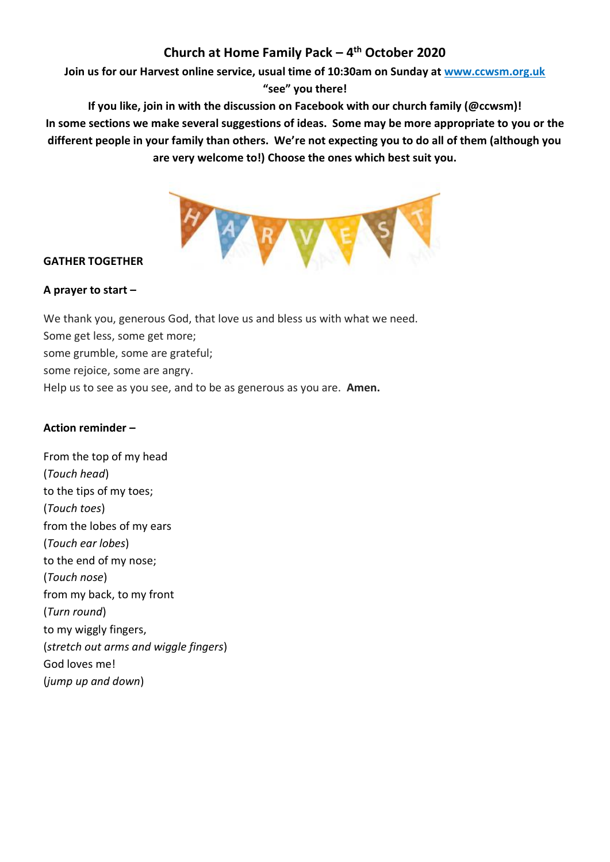# **Church at Home Family Pack – 4 th October 2020**

**Join us for our Harvest online service, usual time of 10:30am on Sunday at [www.ccwsm.org.uk](http://www.ccwsm.org.uk/)**

**"see" you there!** 

**If you like, join in with the discussion on Facebook with our church family (@ccwsm)!**

**In some sections we make several suggestions of ideas. Some may be more appropriate to you or the different people in your family than others. We're not expecting you to do all of them (although you are very welcome to!) Choose the ones which best suit you.**



## **GATHER TOGETHER**

## **A prayer to start –**

We thank you, generous God, that love us and bless us with what we need. Some get less, some get more; some grumble, some are grateful; some rejoice, some are angry. Help us to see as you see, and to be as generous as you are. **Amen.**

## **Action reminder –**

From the top of my head (*Touch head*) to the tips of my toes; (*Touch toes*) from the lobes of my ears (*Touch ear lobes*) to the end of my nose; (*Touch nose*) from my back, to my front (*Turn round*) to my wiggly fingers, (*stretch out arms and wiggle fingers*) God loves me! (*jump up and down*)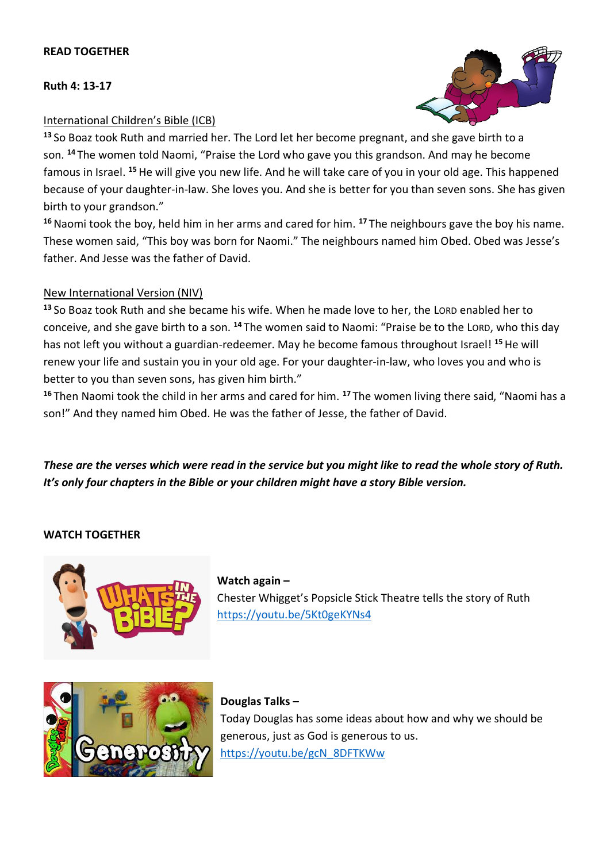#### **READ TOGETHER**

#### **Ruth 4: 13-17**



### International Children's Bible (ICB)

**<sup>13</sup>** So Boaz took Ruth and married her. The Lord let her become pregnant, and she gave birth to a son. **<sup>14</sup>** The women told Naomi, "Praise the Lord who gave you this grandson. And may he become famous in Israel. **<sup>15</sup>**He will give you new life. And he will take care of you in your old age. This happened because of your daughter-in-law. She loves you. And she is better for you than seven sons. She has given birth to your grandson."

**<sup>16</sup>**Naomi took the boy, held him in her arms and cared for him. **<sup>17</sup>** The neighbours gave the boy his name. These women said, "This boy was born for Naomi." The neighbours named him Obed. Obed was Jesse's father. And Jesse was the father of David.

### New International Version (NIV)

**<sup>13</sup>** So Boaz took Ruth and she became his wife. When he made love to her, the LORD enabled her to conceive, and she gave birth to a son. **<sup>14</sup>** The women said to Naomi: "Praise be to the LORD, who this day has not left you without a guardian-redeemer. May he become famous throughout Israel! **<sup>15</sup>**He will renew your life and sustain you in your old age. For your daughter-in-law, who loves you and who is better to you than seven sons, has given him birth."

**<sup>16</sup>** Then Naomi took the child in her arms and cared for him. **<sup>17</sup>** The women living there said, "Naomi has a son!" And they named him Obed. He was the father of Jesse, the father of David.

*These are the verses which were read in the service but you might like to read the whole story of Ruth. It's only four chapters in the Bible or your children might have a story Bible version.* 

### **WATCH TOGETHER**



**Watch again –** Chester Whigget's Popsicle Stick Theatre tells the story of Ruth <https://youtu.be/5Kt0geKYNs4>



**Douglas Talks –** Today Douglas has some ideas about how and why we should be generous, just as God is generous to us. [https://youtu.be/gcN\\_8DFTKWw](https://youtu.be/gcN_8DFTKWw)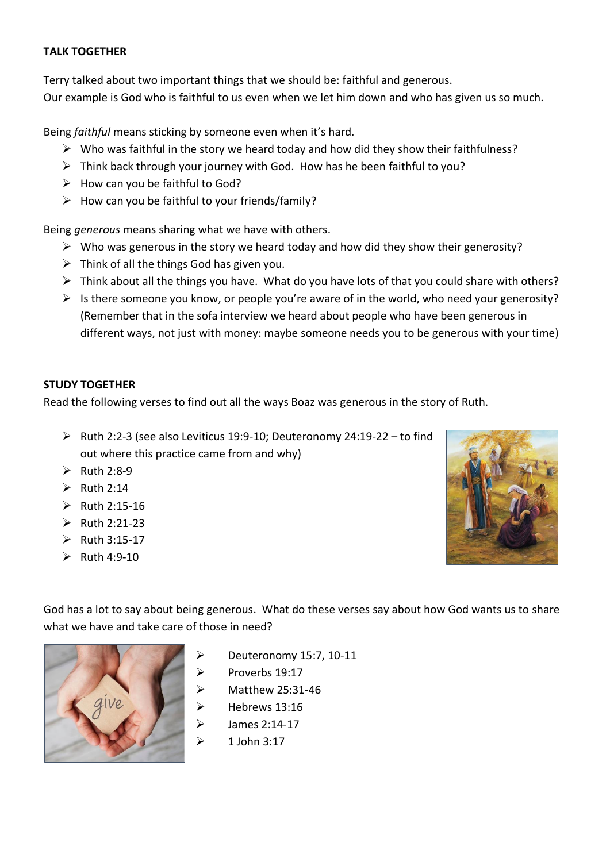### **TALK TOGETHER**

Terry talked about two important things that we should be: faithful and generous. Our example is God who is faithful to us even when we let him down and who has given us so much.

Being *faithful* means sticking by someone even when it's hard.

- $\triangleright$  Who was faithful in the story we heard today and how did they show their faithfulness?
- $\triangleright$  Think back through your journey with God. How has he been faithful to you?
- $\triangleright$  How can you be faithful to God?
- $\triangleright$  How can you be faithful to your friends/family?

Being *generous* means sharing what we have with others.

- $\triangleright$  Who was generous in the story we heard today and how did they show their generosity?
- $\triangleright$  Think of all the things God has given you.
- $\triangleright$  Think about all the things you have. What do you have lots of that you could share with others?
- $\triangleright$  Is there someone you know, or people you're aware of in the world, who need your generosity? (Remember that in the sofa interview we heard about people who have been generous in different ways, not just with money: maybe someone needs you to be generous with your time)

## **STUDY TOGETHER**

Read the following verses to find out all the ways Boaz was generous in the story of Ruth.

- ➢ Ruth 2:2-3 (see also Leviticus 19:9-10; Deuteronomy 24:19-22 to find out where this practice came from and why)
- $\triangleright$  Ruth 2:8-9
- $\triangleright$  Ruth 2:14
- $\triangleright$  Ruth 2:15-16
- $\triangleright$  Ruth 2:21-23
- $\triangleright$  Ruth 3:15-17
- $\triangleright$  Ruth 4:9-10



God has a lot to say about being generous. What do these verses say about how God wants us to share what we have and take care of those in need?



- ➢ Deuteronomy 15:7, 10-11
- $\triangleright$  Proverbs 19:17
	- ➢ Matthew 25:31-46
	- ➢ Hebrews 13:16
	- ➢ James 2:14-17
	- ➢ 1 John 3:17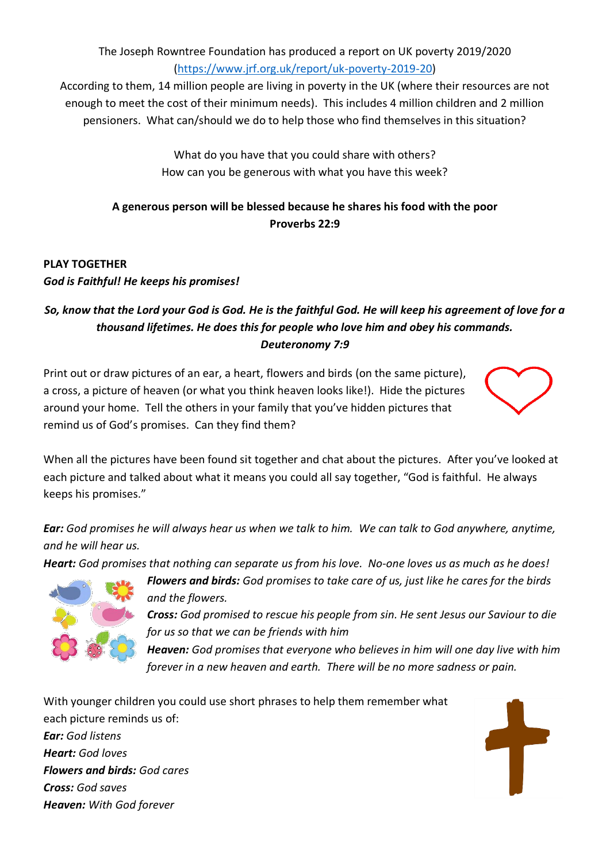The Joseph Rowntree Foundation has produced a report on UK poverty 2019/2020 [\(https://www.jrf.org.uk/report/uk-poverty-2019-20\)](https://www.jrf.org.uk/report/uk-poverty-2019-20)

According to them, 14 million people are living in poverty in the UK (where their resources are not enough to meet the cost of their minimum needs). This includes 4 million children and 2 million pensioners. What can/should we do to help those who find themselves in this situation?

> What do you have that you could share with others? How can you be generous with what you have this week?

# **A generous person will be blessed because he shares his food with the poor Proverbs 22:9**

# **PLAY TOGETHER** *God is Faithful! He keeps his promises!*

# *So, know that the Lord your God is God. He is the faithful God. He will keep his agreement of love for a thousand lifetimes. He does this for people who love him and obey his commands. Deuteronomy 7:9*

Print out or draw pictures of an ear, a heart, flowers and birds (on the same picture), a cross, a picture of heaven (or what you think heaven looks like!). Hide the pictures around your home. Tell the others in your family that you've hidden pictures that remind us of God's promises. Can they find them?



When all the pictures have been found sit together and chat about the pictures. After you've looked at each picture and talked about what it means you could all say together, "God is faithful. [He](https://creativecommons.org/licenses/by-sa/3.0/) al[ways](https://creativecommons.org/licenses/by-sa/3.0/)  keeps his promises."

*Ear: God promises he will always hear us when we talk to him. We can talk to God anywhere, anytime, and he will hear us.*

*Heart: God promises that nothing can separate us from his love. No-one loves us as much as he does!* 



*Flowers and birds: God promises to take care of us, just like he cares for the birds and the flowers.* 

*Cross: God promised to rescue his people from sin. He sent Jesus our Saviour to die for us so that we can be friends with him*

*Heaven: God promises that everyone who believes in him will one day live with him forever in a new heaven and earth. There will be no more sadness or pain.* 

With younger children you could use short phrases to help them remember what each picture reminds us of:

*Ear: God listens Heart: God loves Flowers and birds: God cares Cross: God saves Heaven: With God forever*

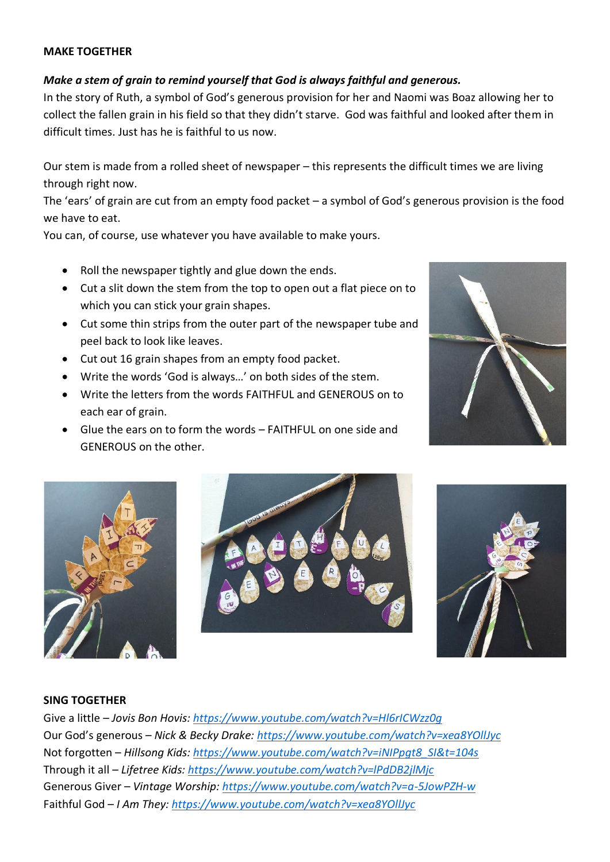#### **MAKE TOGETHER**

### *Make a stem of grain to remind yourself that God is always faithful and generous.*

In the story of Ruth, a symbol of God's generous provision for her and Naomi was Boaz allowing her to collect the fallen grain in his field so that they didn't starve. God was faithful and looked after them in difficult times. Just has he is faithful to us now.

Our stem is made from a rolled sheet of newspaper – this represents the difficult times we are living through right now.

The 'ears' of grain are cut from an empty food packet – a symbol of God's generous provision is the food we have to eat.

You can, of course, use whatever you have available to make yours.

- Roll the newspaper tightly and glue down the ends.
- Cut a slit down the stem from the top to open out a flat piece on to which you can stick your grain shapes.
- Cut some thin strips from the outer part of the newspaper tube and peel back to look like leaves.
- Cut out 16 grain shapes from an empty food packet.
- Write the words 'God is always…' on both sides of the stem.
- Write the letters from the words FAITHFUL and GENEROUS on to each ear of grain.
- Glue the ears on to form the words FAITHFUL on one side and GENEROUS on the other.









#### **SING TOGETHER**

Give a little – *Jovis Bon Hovis:<https://www.youtube.com/watch?v=Hl6rICWzz0g>* Our God's generous – *Nick & Becky Drake:<https://www.youtube.com/watch?v=xea8YOllJyc>* Not forgotten – *Hillsong Kids: [https://www.youtube.com/watch?v=iNIPpgt8\\_SI&t=104s](https://www.youtube.com/watch?v=iNIPpgt8_SI&t=104s)* Through it all – *Lifetree Kids:<https://www.youtube.com/watch?v=lPdDB2jlMjc>* Generous Giver – *Vintage Worship:<https://www.youtube.com/watch?v=a-5JowPZH-w>* Faithful God – *I Am They:<https://www.youtube.com/watch?v=xea8YOllJyc>*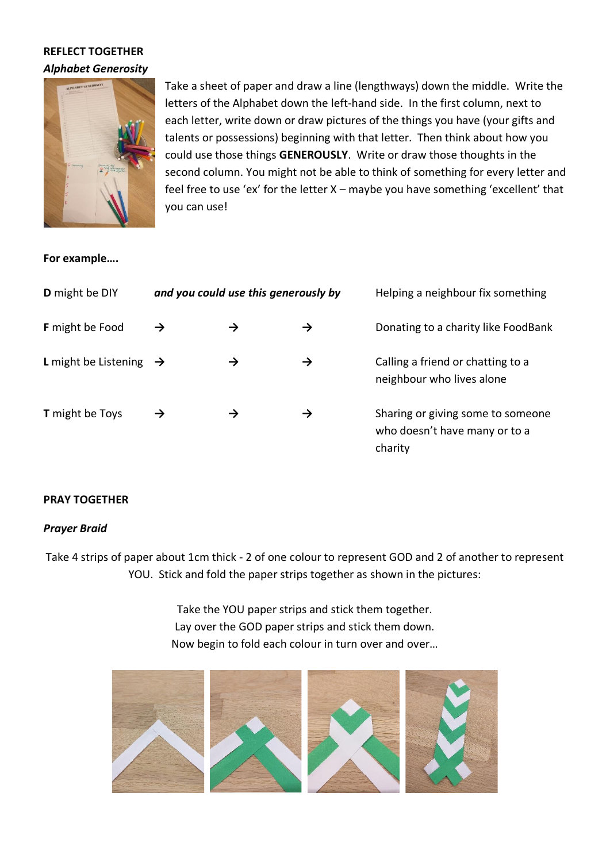## **REFLECT TOGETHER** *Alphabet Generosity*



Take a sheet of paper and draw a line (lengthways) down the middle. Write the letters of the Alphabet down the left-hand side. In the first column, next to each letter, write down or draw pictures of the things you have (your gifts and talents or possessions) beginning with that letter. Then think about how you could use those things **GENEROUSLY**. Write or draw those thoughts in the second column. You might not be able to think of something for every letter and feel free to use 'ex' for the letter X – maybe you have something 'excellent' that you can use!

### **For example….**

| D might be DIY                            | and you could use this generously by |               |   | Helping a neighbour fix something                                             |
|-------------------------------------------|--------------------------------------|---------------|---|-------------------------------------------------------------------------------|
| <b>F</b> might be Food                    | →                                    | →             | → | Donating to a charity like FoodBank                                           |
| <b>L</b> might be Listening $\rightarrow$ |                                      | $\rightarrow$ | → | Calling a friend or chatting to a<br>neighbour who lives alone                |
| <b>T</b> might be Toys                    |                                      | →             | → | Sharing or giving some to someone<br>who doesn't have many or to a<br>charity |

### **PRAY TOGETHER**

### *Prayer Braid*

Take 4 strips of paper about 1cm thick - 2 of one colour to represent GOD and 2 of another to represent YOU. Stick and fold the paper strips together as shown in the pictures:

> Take the YOU paper strips and stick them together. Lay over the GOD paper strips and stick them down. Now begin to fold each colour in turn over and over…